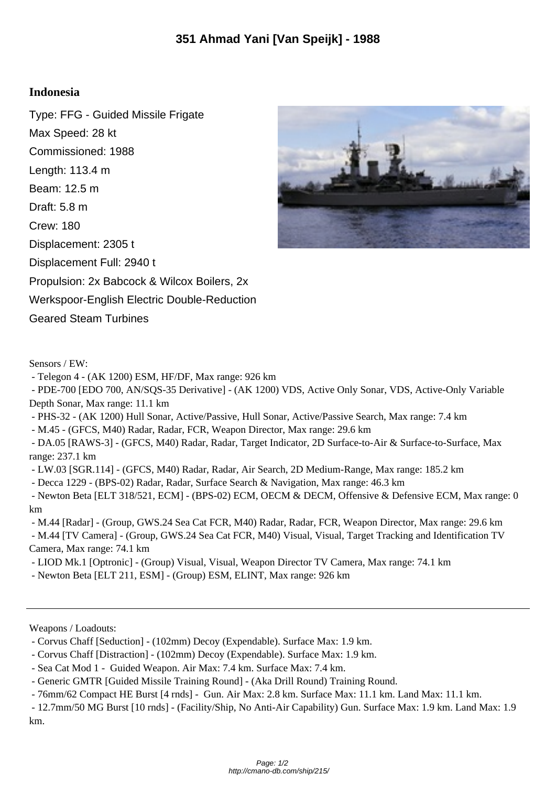## **Indonesia**

Type: FFG - Guided Missile Frigate Max Speed: 28 kt Commissioned: 1988 Length: 113.4 m Beam: 12.5 m Draft: 5.8 m Crew: 180 Displacement: 2305 t Displacement Full: 2940 t Propulsion: 2x Babcock & Wilcox Boilers, 2x Werkspoor-English Electric Double-Reduction Geared Steam Turbines



- Telegon 4 - (AK 1200) ESM, HF/DF, Max range: 926 km

 - PDE-700 [EDO 700, AN/SQS-35 Derivative] - (AK 1200) VDS, Active Only Sonar, VDS, Active-Only Variable Depth Sonar, Max range: 11.1 km

- PHS-32 - (AK 1200) Hull Sonar, Active/Passive, Hull Sonar, Active/Passive Search, Max range: 7.4 km

- M.45 - (GFCS, M40) Radar, Radar, FCR, Weapon Director, Max range: 29.6 km

 - DA.05 [RAWS-3] - (GFCS, M40) Radar, Radar, Target Indicator, 2D Surface-to-Air & Surface-to-Surface, Max range: 237.1 km

- LW.03 [SGR.114] - (GFCS, M40) Radar, Radar, Air Search, 2D Medium-Range, Max range: 185.2 km

- Decca 1229 - (BPS-02) Radar, Radar, Surface Search & Navigation, Max range: 46.3 km

 - Newton Beta [ELT 318/521, ECM] - (BPS-02) ECM, OECM & DECM, Offensive & Defensive ECM, Max range: 0 km

 - M.44 [Radar] - (Group, GWS.24 Sea Cat FCR, M40) Radar, Radar, FCR, Weapon Director, Max range: 29.6 km - M.44 [TV Camera] - (Group, GWS.24 Sea Cat FCR, M40) Visual, Visual, Target Tracking and Identification TV Camera, Max range: 74.1 km

- LIOD Mk.1 [Optronic] - (Group) Visual, Visual, Weapon Director TV Camera, Max range: 74.1 km

- Newton Beta [ELT 211, ESM] - (Group) ESM, ELINT, Max range: 926 km

Weapons / Loadouts:

- Corvus Chaff [Seduction] - (102mm) Decoy (Expendable). Surface Max: 1.9 km.

- Corvus Chaff [Distraction] - (102mm) Decoy (Expendable). Surface Max: 1.9 km.

- Sea Cat Mod 1 - Guided Weapon. Air Max: 7.4 km. Surface Max: 7.4 km.

- Generic GMTR [Guided Missile Training Round] - (Aka Drill Round) Training Round.

- 76mm/62 Compact HE Burst [4 rnds] - Gun. Air Max: 2.8 km. Surface Max: 11.1 km. Land Max: 11.1 km.

 - 12.7mm/50 MG Burst [10 rnds] - (Facility/Ship, No Anti-Air Capability) Gun. Surface Max: 1.9 km. Land Max: 1.9 km.